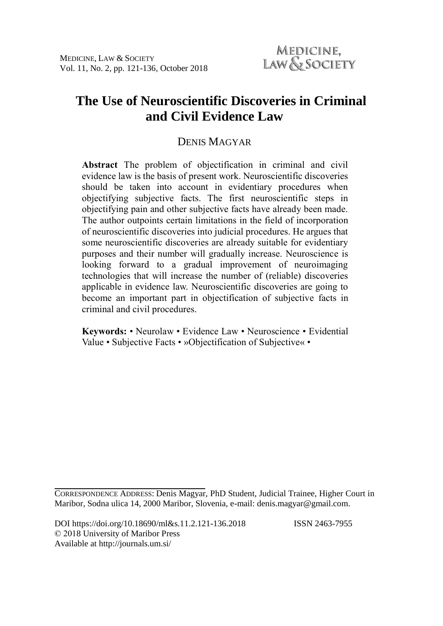# **The Use of Neuroscientific Discoveries in Criminal and Civil Evidence Law**

# DENIS MAGYAR

**Abstract** The problem of objectification in criminal and civil evidence law is the basis of present work. Neuroscientific discoveries should be taken into account in evidentiary procedures when objectifying subjective facts. The first neuroscientific steps in objectifying pain and other subjective facts have already been made. The author outpoints certain limitations in the field of incorporation of neuroscientific discoveries into judicial procedures. He argues that some neuroscientific discoveries are already suitable for evidentiary purposes and their number will gradually increase. Neuroscience is looking forward to a gradual improvement of neuroimaging technologies that will increase the number of (reliable) discoveries applicable in evidence law. Neuroscientific discoveries are going to become an important part in objectification of subjective facts in criminal and civil procedures.

**Keywords:** • Neurolaw • Evidence Law • Neuroscience • Evidential Value • Subjective Facts • »Objectification of Subjective« •

CORRESPONDENCE ADDRESS: Denis Magyar, PhD Student, Judicial Trainee, Higher Court in Maribor, Sodna ulica 14, 2000 Maribor, Slovenia, e-mail: denis.magyar@gmail.com.

DOI https://doi.org/10.18690/ml&s.11.2.121-136.2018 ISSN 2463-7955 © 2018 University of Maribor Press Available at http://journals.um.si/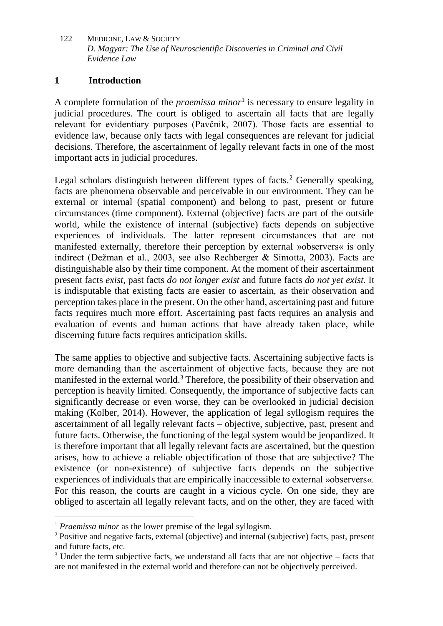### **1 Introduction**

A complete formulation of the *praemissa minor*<sup>1</sup> is necessary to ensure legality in judicial procedures. The court is obliged to ascertain all facts that are legally relevant for evidentiary purposes (Pavčnik, 2007). Those facts are essential to evidence law, because only facts with legal consequences are relevant for judicial decisions. Therefore, the ascertainment of legally relevant facts in one of the most important acts in judicial procedures.

Legal scholars distinguish between different types of facts.<sup>2</sup> Generally speaking, facts are phenomena observable and perceivable in our environment. They can be external or internal (spatial component) and belong to past, present or future circumstances (time component). External (objective) facts are part of the outside world, while the existence of internal (subjective) facts depends on subjective experiences of individuals. The latter represent circumstances that are not manifested externally, therefore their perception by external »observers« is only indirect (Dežman et al., 2003, see also Rechberger & Simotta, 2003). Facts are distinguishable also by their time component. At the moment of their ascertainment present facts *exist*, past facts *do not longer exist* and future facts *do not yet exist.* It is indisputable that existing facts are easier to ascertain, as their observation and perception takes place in the present. On the other hand, ascertaining past and future facts requires much more effort. Ascertaining past facts requires an analysis and evaluation of events and human actions that have already taken place, while discerning future facts requires anticipation skills.

The same applies to objective and subjective facts. Ascertaining subjective facts is more demanding than the ascertainment of objective facts, because they are not manifested in the external world.<sup>3</sup> Therefore, the possibility of their observation and perception is heavily limited. Consequently, the importance of subjective facts can significantly decrease or even worse, they can be overlooked in judicial decision making (Kolber, 2014). However, the application of legal syllogism requires the ascertainment of all legally relevant facts – objective, subjective, past, present and future facts. Otherwise, the functioning of the legal system would be jeopardized. It is therefore important that all legally relevant facts are ascertained, but the question arises, how to achieve a reliable objectification of those that are subjective? The existence (or non-existence) of subjective facts depends on the subjective experiences of individuals that are empirically inaccessible to external »observers«. For this reason, the courts are caught in a vicious cycle. On one side, they are obliged to ascertain all legally relevant facts, and on the other, they are faced with

1

<sup>1</sup> *Praemissa minor* as the lower premise of the legal syllogism.

<sup>2</sup> Positive and negative facts, external (objective) and internal (subjective) facts, past, present and future facts, etc.

 $3$  Under the term subjective facts, we understand all facts that are not objective – facts that are not manifested in the external world and therefore can not be objectively perceived.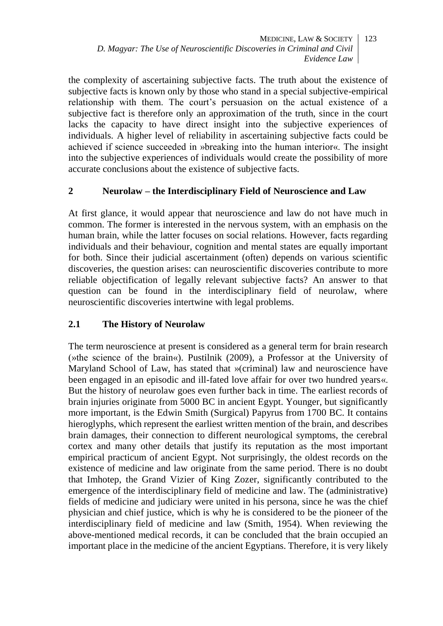the complexity of ascertaining subjective facts. The truth about the existence of subjective facts is known only by those who stand in a special subjective-empirical relationship with them. The court's persuasion on the actual existence of a subjective fact is therefore only an approximation of the truth, since in the court lacks the capacity to have direct insight into the subjective experiences of individuals. A higher level of reliability in ascertaining subjective facts could be achieved if science succeeded in »breaking into the human interior«. The insight into the subjective experiences of individuals would create the possibility of more accurate conclusions about the existence of subjective facts.

## **2 Neurolaw – the Interdisciplinary Field of Neuroscience and Law**

At first glance, it would appear that neuroscience and law do not have much in common. The former is interested in the nervous system, with an emphasis on the human brain, while the latter focuses on social relations. However, facts regarding individuals and their behaviour, cognition and mental states are equally important for both. Since their judicial ascertainment (often) depends on various scientific discoveries, the question arises: can neuroscientific discoveries contribute to more reliable objectification of legally relevant subjective facts? An answer to that question can be found in the interdisciplinary field of neurolaw, where neuroscientific discoveries intertwine with legal problems.

## **2.1 The History of Neurolaw**

The term neuroscience at present is considered as a general term for brain research (»the science of the brain«). Pustilnik (2009), a Professor at the University of Maryland School of Law, has stated that »(criminal) law and neuroscience have been engaged in an episodic and ill-fated love affair for over two hundred years«. But the history of neurolaw goes even further back in time. The earliest records of brain injuries originate from 5000 BC in ancient Egypt. Younger, but significantly more important, is the Edwin Smith (Surgical) Papyrus from 1700 BC. It contains hieroglyphs, which represent the earliest written mention of the brain, and describes brain damages, their connection to different neurological symptoms, the cerebral cortex and many other details that justify its reputation as the most important empirical practicum of ancient Egypt. Not surprisingly, the oldest records on the existence of medicine and law originate from the same period. There is no doubt that Imhotep, the Grand Vizier of King Zozer, significantly contributed to the emergence of the interdisciplinary field of medicine and law. The (administrative) fields of medicine and judiciary were united in his persona, since he was the chief physician and chief justice, which is why he is considered to be the pioneer of the interdisciplinary field of medicine and law (Smith, 1954). When reviewing the above-mentioned medical records, it can be concluded that the brain occupied an important place in the medicine of the ancient Egyptians. Therefore, it is very likely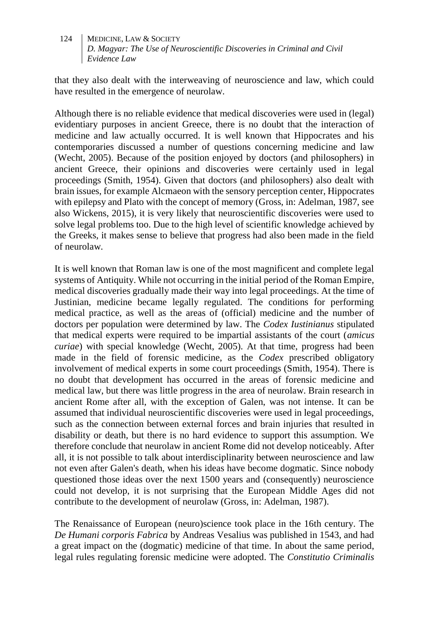that they also dealt with the interweaving of neuroscience and law, which could have resulted in the emergence of neurolaw.

Although there is no reliable evidence that medical discoveries were used in (legal) evidentiary purposes in ancient Greece, there is no doubt that the interaction of medicine and law actually occurred. It is well known that Hippocrates and his contemporaries discussed a number of questions concerning medicine and law (Wecht, 2005). Because of the position enjoyed by doctors (and philosophers) in ancient Greece, their opinions and discoveries were certainly used in legal proceedings (Smith, 1954). Given that doctors (and philosophers) also dealt with brain issues, for example Alcmaeon with the sensory perception center, Hippocrates with epilepsy and Plato with the concept of memory (Gross, in: Adelman, 1987, see also Wickens, 2015), it is very likely that neuroscientific discoveries were used to solve legal problems too. Due to the high level of scientific knowledge achieved by the Greeks, it makes sense to believe that progress had also been made in the field of neurolaw.

It is well known that Roman law is one of the most magnificent and complete legal systems of Antiquity. While not occurring in the initial period of the Roman Empire, medical discoveries gradually made their way into legal proceedings. At the time of Justinian, medicine became legally regulated. The conditions for performing medical practice, as well as the areas of (official) medicine and the number of doctors per population were determined by law. The *Codex Iustinianus* stipulated that medical experts were required to be impartial assistants of the court (*amicus curiae*) with special knowledge (Wecht, 2005). At that time, progress had been made in the field of forensic medicine, as the *Codex* prescribed obligatory involvement of medical experts in some court proceedings (Smith, 1954). There is no doubt that development has occurred in the areas of forensic medicine and medical law, but there was little progress in the area of neurolaw. Brain research in ancient Rome after all, with the exception of Galen, was not intense. It can be assumed that individual neuroscientific discoveries were used in legal proceedings, such as the connection between external forces and brain injuries that resulted in disability or death, but there is no hard evidence to support this assumption. We therefore conclude that neurolaw in ancient Rome did not develop noticeably. After all, it is not possible to talk about interdisciplinarity between neuroscience and law not even after Galen's death, when his ideas have become dogmatic. Since nobody questioned those ideas over the next 1500 years and (consequently) neuroscience could not develop, it is not surprising that the European Middle Ages did not contribute to the development of neurolaw (Gross, in: Adelman, 1987).

The Renaissance of European (neuro)science took place in the 16th century. The *De Humani corporis Fabrica* by Andreas Vesalius was published in 1543, and had a great impact on the (dogmatic) medicine of that time. In about the same period, legal rules regulating forensic medicine were adopted. The *Constitutio Criminalis*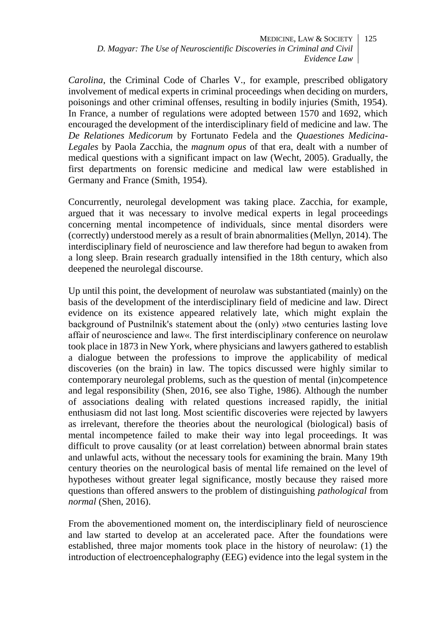*Carolina*, the Criminal Code of Charles V., for example, prescribed obligatory involvement of medical experts in criminal proceedings when deciding on murders, poisonings and other criminal offenses, resulting in bodily injuries (Smith, 1954). In France, a number of regulations were adopted between 1570 and 1692, which encouraged the development of the interdisciplinary field of medicine and law. The *De Relationes Medicorum* by Fortunato Fedela and the *Quaestiones Medicina-Legales* by Paola Zacchia, the *magnum opus* of that era, dealt with a number of medical questions with a significant impact on law (Wecht, 2005). Gradually, the first departments on forensic medicine and medical law were established in Germany and France (Smith, 1954).

Concurrently, neurolegal development was taking place. Zacchia, for example, argued that it was necessary to involve medical experts in legal proceedings concerning mental incompetence of individuals, since mental disorders were (correctly) understood merely as a result of brain abnormalities (Mellyn, 2014). The interdisciplinary field of neuroscience and law therefore had begun to awaken from a long sleep. Brain research gradually intensified in the 18th century, which also deepened the neurolegal discourse.

Up until this point, the development of neurolaw was substantiated (mainly) on the basis of the development of the interdisciplinary field of medicine and law. Direct evidence on its existence appeared relatively late, which might explain the background of Pustnilnik's statement about the (only) »two centuries lasting love affair of neuroscience and law«. The first interdisciplinary conference on neurolaw took place in 1873 in New York, where physicians and lawyers gathered to establish a dialogue between the professions to improve the applicability of medical discoveries (on the brain) in law. The topics discussed were highly similar to contemporary neurolegal problems, such as the question of mental (in)competence and legal responsibility (Shen, 2016, see also Tighe, 1986). Although the number of associations dealing with related questions increased rapidly, the initial enthusiasm did not last long. Most scientific discoveries were rejected by lawyers as irrelevant, therefore the theories about the neurological (biological) basis of mental incompetence failed to make their way into legal proceedings. It was difficult to prove causality (or at least correlation) between abnormal brain states and unlawful acts, without the necessary tools for examining the brain. Many 19th century theories on the neurological basis of mental life remained on the level of hypotheses without greater legal significance, mostly because they raised more questions than offered answers to the problem of distinguishing *pathological* from *normal* (Shen, 2016).

From the abovementioned moment on, the interdisciplinary field of neuroscience and law started to develop at an accelerated pace. After the foundations were established, three major moments took place in the history of neurolaw: (1) the introduction of electroencephalography (EEG) evidence into the legal system in the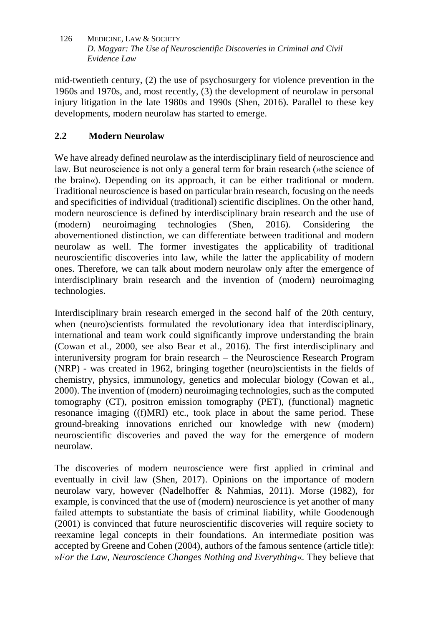mid-twentieth century, (2) the use of psychosurgery for violence prevention in the 1960s and 1970s, and, most recently, (3) the development of neurolaw in personal injury litigation in the late 1980s and 1990s (Shen, 2016). Parallel to these key developments, modern neurolaw has started to emerge.

### **2.2 Modern Neurolaw**

We have already defined neurolaw as the interdisciplinary field of neuroscience and law. But neuroscience is not only a general term for brain research (»the science of the brain«). Depending on its approach, it can be either traditional or modern. Traditional neuroscience is based on particular brain research, focusing on the needs and specificities of individual (traditional) scientific disciplines. On the other hand, modern neuroscience is defined by interdisciplinary brain research and the use of (modern) neuroimaging technologies (Shen, 2016). Considering the abovementioned distinction, we can differentiate between traditional and modern neurolaw as well. The former investigates the applicability of traditional neuroscientific discoveries into law, while the latter the applicability of modern ones. Therefore, we can talk about modern neurolaw only after the emergence of interdisciplinary brain research and the invention of (modern) neuroimaging technologies.

Interdisciplinary brain research emerged in the second half of the 20th century, when (neuro)scientists formulated the revolutionary idea that interdisciplinary, international and team work could significantly improve understanding the brain (Cowan et al., 2000, see also Bear et al., 2016). The first interdisciplinary and interuniversity program for brain research – the Neuroscience Research Program (NRP) - was created in 1962, bringing together (neuro)scientists in the fields of chemistry, physics, immunology, genetics and molecular biology (Cowan et al., 2000). The invention of (modern) neuroimaging technologies, such as the computed tomography (CT), positron emission tomography (PET), (functional) magnetic resonance imaging ((f)MRI) etc., took place in about the same period. These ground-breaking innovations enriched our knowledge with new (modern) neuroscientific discoveries and paved the way for the emergence of modern neurolaw.

The discoveries of modern neuroscience were first applied in criminal and eventually in civil law (Shen, 2017). Opinions on the importance of modern neurolaw vary, however (Nadelhoffer & Nahmias, 2011). Morse (1982), for example, is convinced that the use of (modern) neuroscience is yet another of many failed attempts to substantiate the basis of criminal liability, while Goodenough (2001) is convinced that future neuroscientific discoveries will require society to reexamine legal concepts in their foundations. An intermediate position was accepted by Greene and Cohen (2004), authors of the famous sentence (article title): »*For the Law, Neuroscience Changes Nothing and Everything*«. They believe that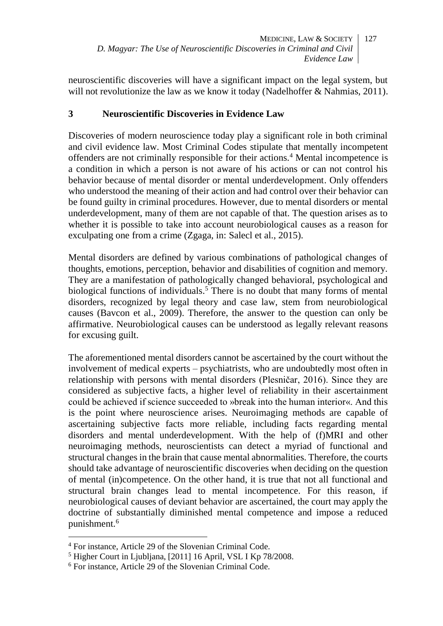neuroscientific discoveries will have a significant impact on the legal system, but will not revolutionize the law as we know it today (Nadelhoffer  $& Nahnias, 2011$ ).

### **3 Neuroscientific Discoveries in Evidence Law**

Discoveries of modern neuroscience today play a significant role in both criminal and civil evidence law. Most Criminal Codes stipulate that mentally incompetent offenders are not criminally responsible for their actions.<sup>4</sup> Mental incompetence is a condition in which a person is not aware of his actions or can not control his behavior because of mental disorder or mental underdevelopment. Only offenders who understood the meaning of their action and had control over their behavior can be found guilty in criminal procedures. However, due to mental disorders or mental underdevelopment, many of them are not capable of that. The question arises as to whether it is possible to take into account neurobiological causes as a reason for exculpating one from a crime (Zgaga, in: Salecl et al., 2015).

Mental disorders are defined by various combinations of pathological changes of thoughts, emotions, perception, behavior and disabilities of cognition and memory. They are a manifestation of pathologically changed behavioral, psychological and biological functions of individuals. <sup>5</sup> There is no doubt that many forms of mental disorders, recognized by legal theory and case law, stem from neurobiological causes (Bavcon et al., 2009). Therefore, the answer to the question can only be affirmative. Neurobiological causes can be understood as legally relevant reasons for excusing guilt.

The aforementioned mental disorders cannot be ascertained by the court without the involvement of medical experts – psychiatrists, who are undoubtedly most often in relationship with persons with mental disorders (Plesničar, 2016). Since they are considered as subjective facts, a higher level of reliability in their ascertainment could be achieved if science succeeded to »break into the human interior«. And this is the point where neuroscience arises. Neuroimaging methods are capable of ascertaining subjective facts more reliable, including facts regarding mental disorders and mental underdevelopment. With the help of (f)MRI and other neuroimaging methods, neuroscientists can detect a myriad of functional and structural changes in the brain that cause mental abnormalities. Therefore, the courts should take advantage of neuroscientific discoveries when deciding on the question of mental (in)competence. On the other hand, it is true that not all functional and structural brain changes lead to mental incompetence. For this reason, if neurobiological causes of deviant behavior are ascertained, the court may apply the doctrine of substantially diminished mental competence and impose a reduced punishment.<sup>6</sup>

-

<sup>4</sup> For instance, Article 29 of the Slovenian Criminal Code.

<sup>5</sup> Higher Court in Ljubljana, [2011] 16 April, VSL I Kp 78/2008.

<sup>6</sup> For instance, Article 29 of the Slovenian Criminal Code.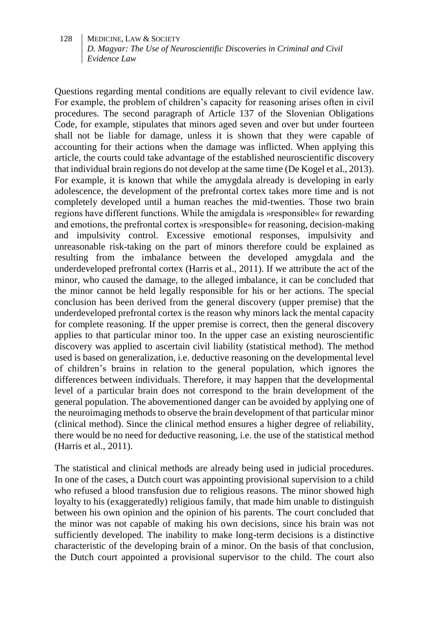Questions regarding mental conditions are equally relevant to civil evidence law. For example, the problem of children's capacity for reasoning arises often in civil procedures. The second paragraph of Article 137 of the Slovenian Obligations Code, for example, stipulates that minors aged seven and over but under fourteen shall not be liable for damage, unless it is shown that they were capable of accounting for their actions when the damage was inflicted. When applying this article, the courts could take advantage of the established neuroscientific discovery that individual brain regions do not develop at the same time (De Kogel et al., 2013). For example, it is known that while the amygdala already is developing in early adolescence, the development of the prefrontal cortex takes more time and is not completely developed until a human reaches the mid-twenties. Those two brain regions have different functions. While the amigdala is »responsible« for rewarding and emotions, the prefrontal cortex is »responsible« for reasoning, decision-making and impulsivity control. Excessive emotional responses, impulsivity and unreasonable risk-taking on the part of minors therefore could be explained as resulting from the imbalance between the developed amygdala and the underdeveloped prefrontal cortex (Harris et al., 2011). If we attribute the act of the minor, who caused the damage, to the alleged imbalance, it can be concluded that the minor cannot be held legally responsible for his or her actions. The special conclusion has been derived from the general discovery (upper premise) that the underdeveloped prefrontal cortex is the reason why minors lack the mental capacity for complete reasoning. If the upper premise is correct, then the general discovery applies to that particular minor too. In the upper case an existing neuroscientific discovery was applied to ascertain civil liability (statistical method). The method used is based on generalization, i.e. deductive reasoning on the developmental level of children's brains in relation to the general population, which ignores the differences between individuals. Therefore, it may happen that the developmental level of a particular brain does not correspond to the brain development of the general population. The abovementioned danger can be avoided by applying one of the neuroimaging methods to observe the brain development of that particular minor (clinical method). Since the clinical method ensures a higher degree of reliability, there would be no need for deductive reasoning, i.e. the use of the statistical method (Harris et al., 2011).

The statistical and clinical methods are already being used in judicial procedures. In one of the cases, a Dutch court was appointing provisional supervision to a child who refused a blood transfusion due to religious reasons. The minor showed high loyalty to his (exaggeratedly) religious family, that made him unable to distinguish between his own opinion and the opinion of his parents. The court concluded that the minor was not capable of making his own decisions, since his brain was not sufficiently developed. The inability to make long-term decisions is a distinctive characteristic of the developing brain of a minor. On the basis of that conclusion, the Dutch court appointed a provisional supervisor to the child. The court also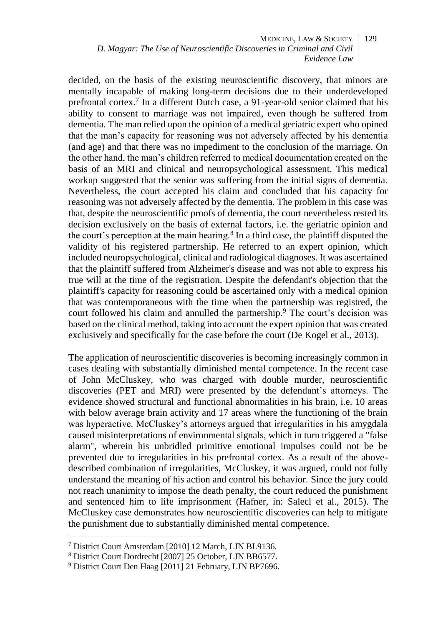decided, on the basis of the existing neuroscientific discovery, that minors are mentally incapable of making long-term decisions due to their underdeveloped prefrontal cortex.<sup>7</sup> In a different Dutch case, a 91-year-old senior claimed that his ability to consent to marriage was not impaired, even though he suffered from dementia. The man relied upon the opinion of a medical geriatric expert who opined that the man's capacity for reasoning was not adversely affected by his dementia (and age) and that there was no impediment to the conclusion of the marriage. On the other hand, the man's children referred to medical documentation created on the basis of an MRI and clinical and neuropsychological assessment. This medical workup suggested that the senior was suffering from the initial signs of dementia. Nevertheless, the court accepted his claim and concluded that his capacity for reasoning was not adversely affected by the dementia. The problem in this case was that, despite the neuroscientific proofs of dementia, the court nevertheless rested its decision exclusively on the basis of external factors, i.e. the geriatric opinion and the court's perception at the main hearing. $8$  In a third case, the plaintiff disputed the validity of his registered partnership. He referred to an expert opinion, which included neuropsychological, clinical and radiological diagnoses. It was ascertained that the plaintiff suffered from Alzheimer's disease and was not able to express his true will at the time of the registration. Despite the defendant's objection that the plaintiff's capacity for reasoning could be ascertained only with a medical opinion that was contemporaneous with the time when the partnership was registred, the court followed his claim and annulled the partnership.<sup>9</sup> The court's decision was based on the clinical method, taking into account the expert opinion that was created exclusively and specifically for the case before the court (De Kogel et al., 2013).

The application of neuroscientific discoveries is becoming increasingly common in cases dealing with substantially diminished mental competence. In the recent case of John McCluskey, who was charged with double murder, neuroscientific discoveries (PET and MRI) were presented by the defendant's attorneys. The evidence showed structural and functional abnormalities in his brain, i.e. 10 areas with below average brain activity and 17 areas where the functioning of the brain was hyperactive. McCluskey's attorneys argued that irregularities in his amygdala caused misinterpretations of environmental signals, which in turn triggered a "false alarm", wherein his unbridled primitive emotional impulses could not be be prevented due to irregularities in his prefrontal cortex. As a result of the abovedescribed combination of irregularities, McCluskey, it was argued, could not fully understand the meaning of his action and control his behavior. Since the jury could not reach unanimity to impose the death penalty, the court reduced the punishment and sentenced him to life imprisonment (Hafner, in: Salecl et al., 2015). The McCluskey case demonstrates how neuroscientific discoveries can help to mitigate the punishment due to substantially diminished mental competence.

-

<sup>7</sup> District Court Amsterdam [2010] 12 March, LJN BL9136.

<sup>8</sup> District Court Dordrecht [2007] 25 October, LJN BB6577.

<sup>9</sup> District Court Den Haag [2011] 21 February, LJN BP7696.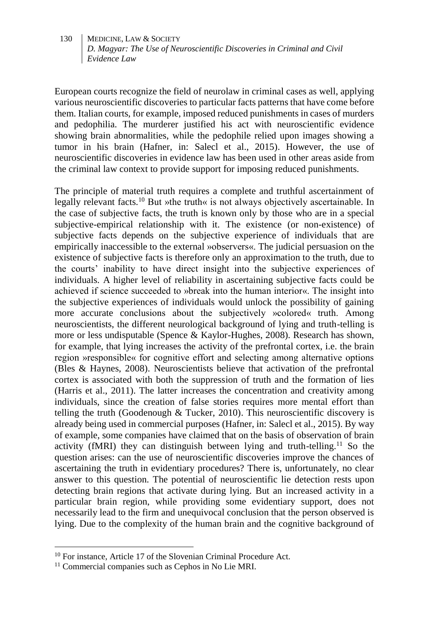European courts recognize the field of neurolaw in criminal cases as well, applying various neuroscientific discoveries to particular facts patterns that have come before them. Italian courts, for example, imposed reduced punishments in cases of murders and pedophilia. The murderer justified his act with neuroscientific evidence showing brain abnormalities, while the pedophile relied upon images showing a tumor in his brain (Hafner, in: Salecl et al., 2015). However, the use of neuroscientific discoveries in evidence law has been used in other areas aside from the criminal law context to provide support for imposing reduced punishments.

The principle of material truth requires a complete and truthful ascertainment of legally relevant facts.<sup>10</sup> But »the truth« is not always objectively ascertainable. In the case of subjective facts, the truth is known only by those who are in a special subjective-empirical relationship with it. The existence (or non-existence) of subjective facts depends on the subjective experience of individuals that are empirically inaccessible to the external »observers«. The judicial persuasion on the existence of subjective facts is therefore only an approximation to the truth, due to the courts' inability to have direct insight into the subjective experiences of individuals. A higher level of reliability in ascertaining subjective facts could be achieved if science succeeded to »break into the human interior«. The insight into the subjective experiences of individuals would unlock the possibility of gaining more accurate conclusions about the subjectively »colored« truth. Among neuroscientists, the different neurological background of lying and truth-telling is more or less undisputable (Spence & Kaylor-Hughes, 2008). Research has shown, for example, that lying increases the activity of the prefrontal cortex, i.e. the brain region »responsible« for cognitive effort and selecting among alternative options (Bles & Haynes, 2008). Neuroscientists believe that activation of the prefrontal cortex is associated with both the suppression of truth and the formation of lies (Harris et al., 2011). The latter increases the concentration and creativity among individuals, since the creation of false stories requires more mental effort than telling the truth (Goodenough  $&$  Tucker, 2010). This neuroscientific discovery is already being used in commercial purposes (Hafner, in: Salecl et al., 2015). By way of example, some companies have claimed that on the basis of observation of brain activity (fMRI) they can distinguish between lying and truth-telling.<sup>11</sup> So the question arises: can the use of neuroscientific discoveries improve the chances of ascertaining the truth in evidentiary procedures? There is, unfortunately, no clear answer to this question. The potential of neuroscientific lie detection rests upon detecting brain regions that activate during lying. But an increased activity in a particular brain region, while providing some evidentiary support, does not necessarily lead to the firm and unequivocal conclusion that the person observed is lying. Due to the complexity of the human brain and the cognitive background of

1

<sup>&</sup>lt;sup>10</sup> For instance, Article 17 of the Slovenian Criminal Procedure Act.

<sup>&</sup>lt;sup>11</sup> Commercial companies such as Cephos in No Lie MRI.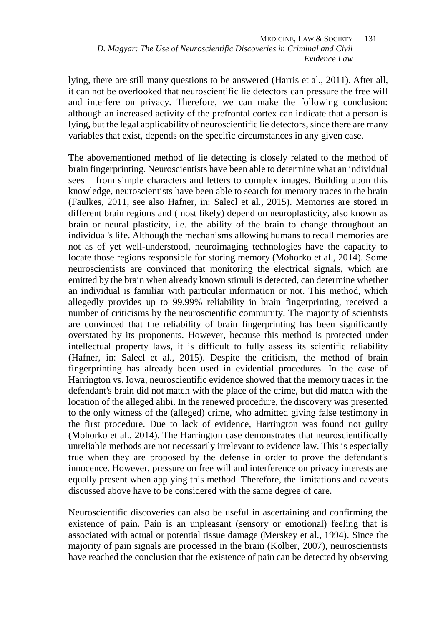lying, there are still many questions to be answered (Harris et al., 2011). After all, it can not be overlooked that neuroscientific lie detectors can pressure the free will and interfere on privacy. Therefore, we can make the following conclusion: although an increased activity of the prefrontal cortex can indicate that a person is lying, but the legal applicability of neuroscientific lie detectors, since there are many variables that exist, depends on the specific circumstances in any given case.

The abovementioned method of lie detecting is closely related to the method of brain fingerprinting. Neuroscientists have been able to determine what an individual sees – from simple characters and letters to complex images. Building upon this knowledge, neuroscientists have been able to search for memory traces in the brain (Faulkes, 2011, see also Hafner, in: Salecl et al., 2015). Memories are stored in different brain regions and (most likely) depend on neuroplasticity, also known as brain or neural plasticity, i.e. the ability of the brain to change throughout an individual's life. Although the mechanisms allowing humans to recall memories are not as of yet well-understood, neuroimaging technologies have the capacity to locate those regions responsible for storing memory (Mohorko et al., 2014). Some neuroscientists are convinced that monitoring the electrical signals, which are emitted by the brain when already known stimuli is detected, can determine whether an individual is familiar with particular information or not. This method, which allegedly provides up to 99.99% reliability in brain fingerprinting, received a number of criticisms by the neuroscientific community. The majority of scientists are convinced that the reliability of brain fingerprinting has been significantly overstated by its proponents. However, because this method is protected under intellectual property laws, it is difficult to fully assess its scientific reliability (Hafner, in: Salecl et al., 2015). Despite the criticism, the method of brain fingerprinting has already been used in evidential procedures. In the case of Harrington vs. Iowa, neuroscientific evidence showed that the memory traces in the defendant's brain did not match with the place of the crime, but did match with the location of the alleged alibi. In the renewed procedure, the discovery was presented to the only witness of the (alleged) crime, who admitted giving false testimony in the first procedure. Due to lack of evidence, Harrington was found not guilty (Mohorko et al., 2014). The Harrington case demonstrates that neuroscientifically unreliable methods are not necessarily irrelevant to evidence law. This is especially true when they are proposed by the defense in order to prove the defendant's innocence. However, pressure on free will and interference on privacy interests are equally present when applying this method. Therefore, the limitations and caveats discussed above have to be considered with the same degree of care.

Neuroscientific discoveries can also be useful in ascertaining and confirming the existence of pain. Pain is an unpleasant (sensory or emotional) feeling that is associated with actual or potential tissue damage (Merskey et al., 1994). Since the majority of pain signals are processed in the brain (Kolber, 2007), neuroscientists have reached the conclusion that the existence of pain can be detected by observing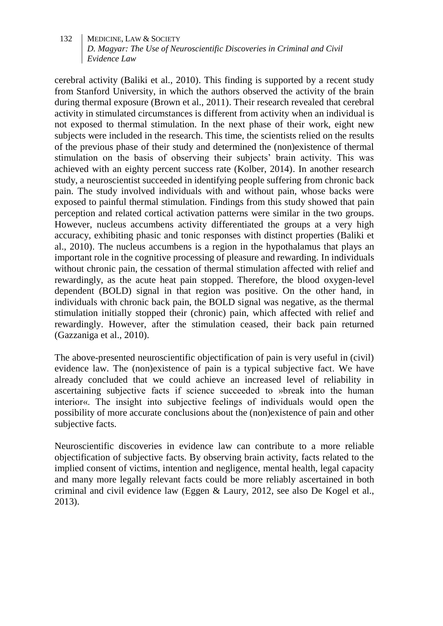cerebral activity (Baliki et al., 2010). This finding is supported by a recent study from Stanford University, in which the authors observed the activity of the brain during thermal exposure (Brown et al., 2011). Their research revealed that cerebral activity in stimulated circumstances is different from activity when an individual is not exposed to thermal stimulation. In the next phase of their work, eight new subjects were included in the research. This time, the scientists relied on the results of the previous phase of their study and determined the (non)existence of thermal stimulation on the basis of observing their subjects' brain activity. This was achieved with an eighty percent success rate (Kolber, 2014). In another research study, a neuroscientist succeeded in identifying people suffering from chronic back pain. The study involved individuals with and without pain, whose backs were exposed to painful thermal stimulation. Findings from this study showed that pain perception and related cortical activation patterns were similar in the two groups. However, nucleus accumbens activity differentiated the groups at a very high accuracy, exhibiting phasic and tonic responses with distinct properties (Baliki et al., 2010). The nucleus accumbens is a region in the hypothalamus that plays an important role in the cognitive processing of pleasure and rewarding. In individuals without chronic pain, the cessation of thermal stimulation affected with relief and rewardingly, as the acute heat pain stopped. Therefore, the blood oxygen-level dependent (BOLD) signal in that region was positive. On the other hand, in individuals with chronic back pain, the BOLD signal was negative, as the thermal stimulation initially stopped their (chronic) pain, which affected with relief and rewardingly. However, after the stimulation ceased, their back pain returned (Gazzaniga et al., 2010).

The above-presented neuroscientific objectification of pain is very useful in (civil) evidence law. The (non)existence of pain is a typical subjective fact. We have already concluded that we could achieve an increased level of reliability in ascertaining subjective facts if science succeeded to »break into the human interior«. The insight into subjective feelings of individuals would open the possibility of more accurate conclusions about the (non)existence of pain and other subjective facts.

Neuroscientific discoveries in evidence law can contribute to a more reliable objectification of subjective facts. By observing brain activity, facts related to the implied consent of victims, intention and negligence, mental health, legal capacity and many more legally relevant facts could be more reliably ascertained in both criminal and civil evidence law (Eggen & Laury, 2012, see also De Kogel et al., 2013).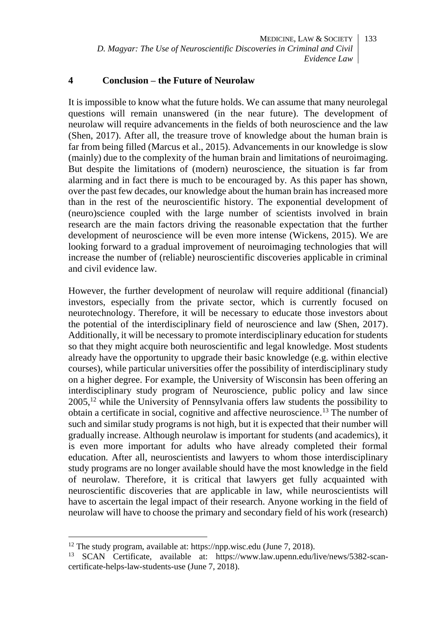### **4 Conclusion – the Future of Neurolaw**

It is impossible to know what the future holds. We can assume that many neurolegal questions will remain unanswered (in the near future). The development of neurolaw will require advancements in the fields of both neuroscience and the law (Shen, 2017). After all, the treasure trove of knowledge about the human brain is far from being filled (Marcus et al., 2015). Advancements in our knowledge is slow (mainly) due to the complexity of the human brain and limitations of neuroimaging. But despite the limitations of (modern) neuroscience, the situation is far from alarming and in fact there is much to be encouraged by. As this paper has shown, over the past few decades, our knowledge about the human brain has increased more than in the rest of the neuroscientific history. The exponential development of (neuro)science coupled with the large number of scientists involved in brain research are the main factors driving the reasonable expectation that the further development of neuroscience will be even more intense (Wickens, 2015). We are looking forward to a gradual improvement of neuroimaging technologies that will increase the number of (reliable) neuroscientific discoveries applicable in criminal and civil evidence law.

However, the further development of neurolaw will require additional (financial) investors, especially from the private sector, which is currently focused on neurotechnology. Therefore, it will be necessary to educate those investors about the potential of the interdisciplinary field of neuroscience and law (Shen, 2017). Additionally, it will be necessary to promote interdisciplinary education for students so that they might acquire both neuroscientific and legal knowledge. Most students already have the opportunity to upgrade their basic knowledge (e.g. within elective courses), while particular universities offer the possibility of interdisciplinary study on a higher degree. For example, the University of Wisconsin has been offering an interdisciplinary study program of Neuroscience, public policy and law since 2005,<sup>12</sup> while the University of Pennsylvania offers law students the possibility to obtain a certificate in social, cognitive and affective neuroscience.<sup>13</sup> The number of such and similar study programs is not high, but it is expected that their number will gradually increase. Although neurolaw is important for students (and academics), it is even more important for adults who have already completed their formal education. After all, neuroscientists and lawyers to whom those interdisciplinary study programs are no longer available should have the most knowledge in the field of neurolaw. Therefore, it is critical that lawyers get fully acquainted with neuroscientific discoveries that are applicable in law, while neuroscientists will have to ascertain the legal impact of their research. Anyone working in the field of neurolaw will have to choose the primary and secondary field of his work (research)

-

<sup>12</sup> The study program, available at: https://npp.wisc.edu (June 7, 2018).

<sup>13</sup> SCAN Certificate, available at: https://www.law.upenn.edu/live/news/5382-scancertificate-helps-law-students-use (June 7, 2018).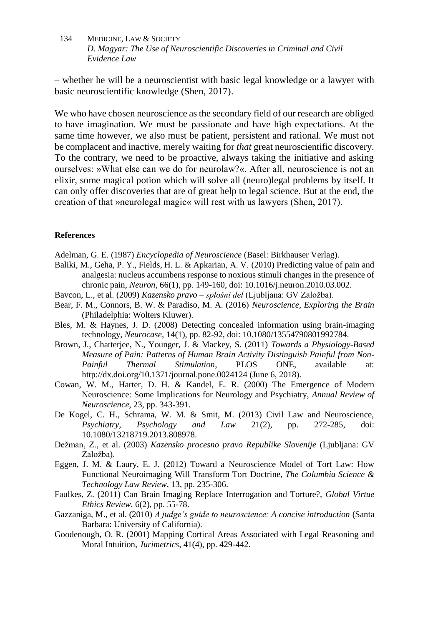– whether he will be a neuroscientist with basic legal knowledge or a lawyer with basic neuroscientific knowledge (Shen, 2017).

We who have chosen neuroscience as the secondary field of our research are obliged to have imagination. We must be passionate and have high expectations. At the same time however, we also must be patient, persistent and rational. We must not be complacent and inactive, merely waiting for *that* great neuroscientific discovery. To the contrary, we need to be proactive, always taking the initiative and asking ourselves: »What else can we do for neurolaw?«. After all, neuroscience is not an elixir, some magical potion which will solve all (neuro)legal problems by itself. It can only offer discoveries that are of great help to legal science. But at the end, the creation of that »neurolegal magic« will rest with us lawyers (Shen, 2017).

#### **References**

Adelman, G. E. (1987) *Encyclopedia of Neuroscience* (Basel: Birkhauser Verlag).

- Baliki, M., Geha, P. Y., Fields, H. L. & Apkarian, A. V. (2010) Predicting value of pain and analgesia: nucleus accumbens response to noxious stimuli changes in the presence of chronic pain, *Neuron*, 66(1), pp. 149-160, doi: 10.1016/j.neuron.2010.03.002.
- Bavcon, L., et al. (2009) *Kazensko pravo – splošni del* (Ljubljana: GV Založba).
- Bear, F. M., Connors, B. W. & Paradiso, M. A. (2016) *Neuroscience, Exploring the Brain* (Philadelphia: Wolters Kluwer).
- Bles, M. & Haynes, J. D. (2008) Detecting concealed information using brain-imaging technology, *Neurocase*, 14(1), pp. 82-92, doi: 10.1080/13554790801992784.
- Brown, J., Chatterjee, N., Younger, J. & Mackey, S. (2011) *Towards a Physiology-Based Measure of Pain: Patterns of Human Brain Activity Distinguish Painful from Non-Painful Thermal Stimulation*, PLOS ONE, available at: http://dx.doi.org/10.1371/journal.pone.0024124 (June 6, 2018).
- Cowan, W. M., Harter, D. H. & Kandel, E. R. (2000) The Emergence of Modern Neuroscience: Some Implications for Neurology and Psychiatry, *Annual Review of Neuroscience*, 23, pp. 343-391.
- De Kogel, C. H., Schrama, W. M. & Smit, M. (2013) Civil Law and Neuroscience, *Psychiatry, Psychology and Law* 21(2), pp. 272-285, doi: 10.1080/13218719.2013.808978.
- Dežman, Z., et al. (2003) *Kazensko procesno pravo Republike Slovenije* (Ljubljana: GV Založba).
- Eggen, J. M. & Laury, E. J. (2012) Toward a Neuroscience Model of Tort Law: How Functional Neuroimaging Will Transform Tort Doctrine, *The Columbia Science & Technology Law Review*, 13, pp. 235-306.
- Faulkes, Z. (2011) Can Brain Imaging Replace Interrogation and Torture?, *Global Virtue Ethics Review*, 6(2), pp. 55-78.
- Gazzaniga, M., et al. (2010) *A judge's guide to neuroscience: A concise introduction* (Santa Barbara: University of California).
- Goodenough, O. R. (2001) Mapping Cortical Areas Associated with Legal Reasoning and Moral Intuition, *Jurimetrics*, 41(4), pp. 429-442.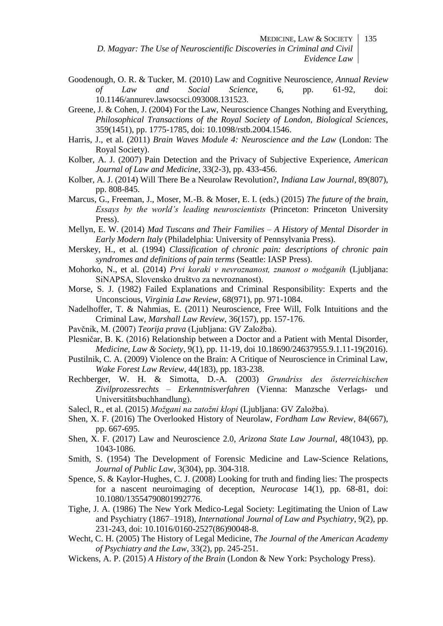- Goodenough, O. R. & Tucker, M. (2010) Law and Cognitive Neuroscience, *Annual Review of Law and Social Science*, 6, pp. 61-92, doi: 10.1146/annurev.lawsocsci.093008.131523.
- Greene, J. & Cohen, J. (2004) For the Law, Neuroscience Changes Nothing and Everything, *Philosophical Transactions of the Royal Society of London, Biological Sciences*, 359(1451), pp. 1775-1785, doi: 10.1098/rstb.2004.1546.
- Harris, J., et al. (2011) *Brain Waves Module 4: Neuroscience and the Law* (London: The Royal Society).
- Kolber, A. J. (2007) Pain Detection and the Privacy of Subjective Experience, *American Journal of Law and Medicine*, 33(2-3), pp. 433-456.
- Kolber, A. J. (2014) Will There Be a Neurolaw Revolution?, *Indiana Law Journal*, 89(807), pp. 808-845.
- Marcus, G., Freeman, J., Moser, M.-B. & Moser, E. I. (eds.) (2015) *The future of the brain, Essays by the world's leading neuroscientists* (Princeton: Princeton University Press).
- Mellyn, E. W. (2014) *Mad Tuscans and Their Families – A History of Mental Disorder in Early Modern Italy* (Philadelphia: University of Pennsylvania Press).
- Merskey, H., et al. (1994) *Classification of chronic pain: descriptions of chronic pain syndromes and definitions of pain terms* (Seattle: IASP Press).
- Mohorko, N., et al. (2014) *Prvi koraki v nevroznanost, znanost o možganih* (Ljubljana: SiNAPSA, Slovensko društvo za nevroznanost).
- Morse, S. J. (1982) Failed Explanations and Criminal Responsibility: Experts and the Unconscious, *Virginia Law Review*, 68(971), pp. 971-1084.
- Nadelhoffer, T. & Nahmias, E. (2011) Neuroscience, Free Will, Folk Intuitions and the Criminal Law, *Marshall Law Review*, 36(157), pp. 157-176.
- Pavčnik, M. (2007) *Teorija prava* (Ljubljana: GV Založba).
- Plesničar, B. K. (2016) Relationship between a Doctor and a Patient with Mental Disorder, *Medicine, Law & Society*, 9(1), pp. 11-19, doi 10.18690/24637955.9.1.11-19(2016).
- Pustilnik, C. A. (2009) Violence on the Brain: A Critique of Neuroscience in Criminal Law, *Wake Forest Law Review*, 44(183), pp. 183-238.
- Rechberger, W. H. & Simotta, D.-A. (2003) *Grundriss des österreichischen Zivilprozessrechts – Erkenntnisverfahren* (Vienna: Manzsche Verlags- und Universitätsbuchhandlung).
- Salecl, R., et al. (2015) *Možgani na zatožni klopi* (Ljubljana: GV Založba).
- Shen, X. F. (2016) The Overlooked History of Neurolaw, *Fordham Law Review*, 84(667), pp. 667-695.
- Shen, X. F. (2017) Law and Neuroscience 2.0, *Arizona State Law Journal*, 48(1043), pp. 1043-1086.
- Smith, S. (1954) The Development of Forensic Medicine and Law-Science Relations, *Journal of Public Law*, 3(304), pp. 304-318.
- Spence, S. & Kaylor-Hughes, C. J. (2008) Looking for truth and finding lies: The prospects for a nascent neuroimaging of deception, *Neurocase* 14(1), pp. 68-81, doi: 10.1080/13554790801992776.
- Tighe, J. A. (1986) The New York Medico-Legal Society: Legitimating the Union of Law and Psychiatry (1867–1918), *International Journal of Law and Psychiatry*, 9(2), pp. 231-243, doi: 10.1016/0160-2527(86)90048-8.
- Wecht, C. H. (2005) The History of Legal Medicine, *The Journal of the American Academy of Psychiatry and the Law*, 33(2), pp. 245-251.
- Wickens, A. P. (2015) *A History of the Brain* (London & New York: Psychology Press).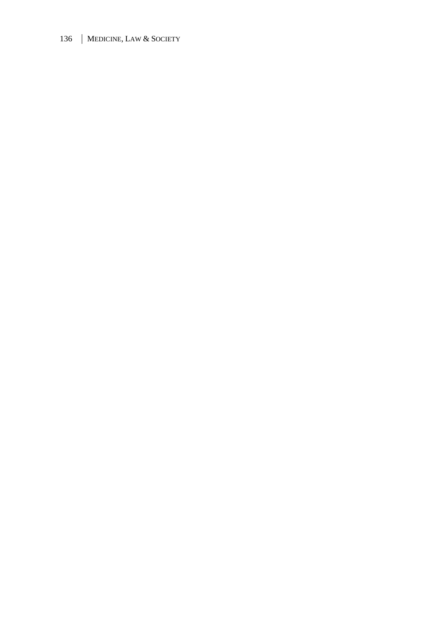# 136 | MEDICINE, LAW & SOCIETY